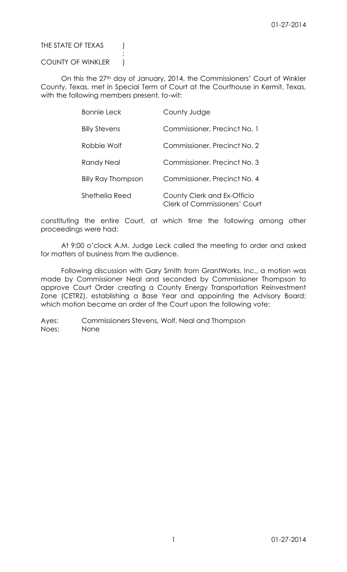# THE STATE OF TEXAS (

# COUNTY OF WINKLER |

:

On this the 27<sup>th</sup> day of January, 2014, the Commissioners' Court of Winkler County, Texas, met in Special Term of Court at the Courthouse in Kermit, Texas, with the following members present, to-wit:

| <b>Bonnie Leck</b>        | County Judge                                                        |
|---------------------------|---------------------------------------------------------------------|
| <b>Billy Stevens</b>      | Commissioner, Precinct No. 1                                        |
| Robbie Wolf               | Commissioner, Precinct No. 2                                        |
| Randy Neal                | Commissioner, Precinct No. 3                                        |
| <b>Billy Ray Thompson</b> | Commissioner, Precinct No. 4                                        |
| Shethelia Reed            | County Clerk and Ex-Officio<br><b>Clerk of Commissioners' Court</b> |

constituting the entire Court, at which time the following among other proceedings were had:

At 9:00 o'clock A.M. Judge Leck called the meeting to order and asked for matters of business from the audience.

Following discussion with Gary Smith from GrantWorks, Inc., a motion was made by Commissioner Neal and seconded by Commissioner Thompson to approve Court Order creating a County Energy Transportation Reinvestment Zone (CETRZ), establishing a Base Year and appointing the Advisory Board; which motion became an order of the Court upon the following vote: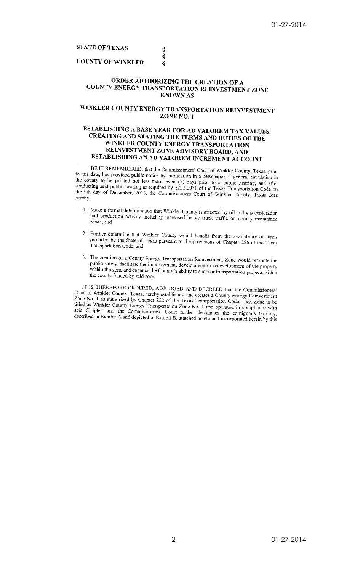# **STATE OF TEXAS**

# **COUNTY OF WINKLER**

# ORDER AUTHORIZING THE CREATION OF A COUNTY ENERGY TRANSPORTATION REINVESTMENT ZONE **KNOWN AS**

§<br>§

Ş

# WINKLER COUNTY ENERGY TRANSPORTATION REINVESTMENT ZONE NO. 1

# ESTABLISHING A BASE YEAR FOR AD VALOREM TAX VALUES, **CREATING AND STATING THE TERMS AND DUTIES OF THE** WINKLER COUNTY ENERGY TRANSPORTATION REINVESTMENT ZONE ADVISORY BOARD, AND ESTABLISHING AN AD VALOREM INCREMENT ACCOUNT

BE IT REMEMBERED, that the Commissioners' Court of Winkler County, Texas, prior to this date, has provided public notice by publication in a newspaper of general circulation in the county to be printed not less than seven (7) days prior to a public hearing, and after<br>conducting said public hearing as required by §222.1071 of the Texas Transportation Code on the 9th day of December, 2013, the Commissioners Court of Winkler County, Texas does hereby:

- 1. Make a formal determination that Winkler County is affected by oil and gas exploration and production activity including increased heavy truck traffic on county maintained roads: and
- 2. Further determine that Winkler County would benefit from the availability of funds provided by the State of Texas pursuant to the provisions of Chapter 256 of the Texas Transportation Code; and
- 3. The creation of a County Energy Transportation Reinvestment Zone would promote the public safety, facilitate the improvement, development or redevelopment of the property within the zone and enhance the County's ability to sponsor transportation projects within the county funded by said zone.

IT IS THEREFORE ORDERED, ADJUDGED AND DECREED that the Commissioners' Court of Winkler County, Texas, hereby establishes and creates a County Energy Reinvestment Zone No. 1 as authorized by Chapter 222 of the Texas Transportation Code, such Zone to be titled as Winkler County Energy Transportation Zone No. 1 and operated in compliance with said Chapter, and the Commissioners' Court further designates the contiguous territory, described in Exhibit A and depicted in Exhibit B, attached hereto and incorporated herein by this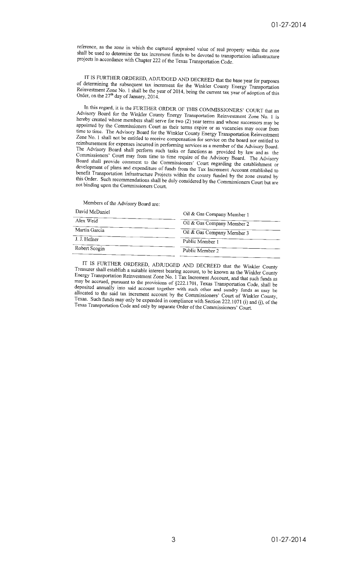reference, as the zone in which the captured appraised value of real property within the zone<br>shall be used to determine the toy increment for the state of the state of the used to determine the toy increment for the state shall be used to determine the tax increment funds to be devoted to transportation infrastructure<br>projects in accordance with Chapter 222 of the T<sub>i</sub>. projects in accordance with Chapter 222 of the Texas Transportation Code.

IT IS FURTHER ORDERED, ADJUDGED AND DECREED that the base year for purposes THIS PUNTIER URDERED, ADJUDGED AND DECREED that the base year for purposes<br>of determining the subsequent tax increment for the Winkler County Energy Transportation<br>Reinvestment Zone No. 1 shall be the year of 2014.1 in the or determining the subsequent tax increment for the Winkler County Energy Transportation<br>Reinvestment Zone No. 1 shall be the year of 2014, being the current tax year of adoption of this<br>Order, on the  $27<sup>th</sup>$  day of J Order, on the  $27<sup>th</sup>$  day of January, 2014.

In this regard, it is the FURTHER ORDER OF THIS COMMISSIONERS' COURT that an Advisory Board for the Virtual OKDER OF THIS COMMISSIONERS' COURT that an<br>hereby created whose members cluttly Energy Transportation Reinvestment Zone No. 1 is recept board for the whikier County Energy Transportation Reinvestment Zone No. 1 is<br>hereby created whose members shall serve for two (2) year terms and whose successors may be<br>annointed by the Commissioners Court prointed by the Commissioners Court as their terms expire or as vacancies may be<br>appointed by the Commissioners Court as their terms expire or as vacancies may occur from<br>time to time. The Advisory Board for the Winkley C Figure to time to time. The Advisory Board for the Winkler County Energy Transportation Reinvestment<br>Zone No. 1 shall not be entitled to receive someony of the Winkler County Energy Transportation Reinvestment Zone No. 1 shall not be entitled to receive compensation for service on the board nor entitled to<br>reimbursement for expenses incurred in postmular compensation for service on the board nor entitled to influence in the contract to receive compensation for service on the board nor entitled to<br>reimbursement for expenses incurred in performing services as a member of the Advisory Board.<br>The Advisory Board shall perform and The Advisory Board shall perform such tasks or functions as provided by law and as the<br>Commissioners' Court may from time to time require of the Advisory Board. Commissioners' Court may from time to time require of the Advisory Board. The Advisory<br>Commissioners' Court may from time to time require of the Advisory Board. The Advisory Commissioners Court may from time to time require of the Advisory Board. The Advisory<br>Board shall provide comment to the Commissioners' Court regarding the establishment or<br>development of plans and expenditure of finds fro development of plans and expenditure of funds from the Tax Increment Account established to<br>henefit Transportation Infrastructure of funds from the Tax Increment Account established to benefit Transportation Infrastructure Projects within the curry funded by the zone created by<br>this Order. Such recommendations of Please within the county funded by the zone created by this Order. Such recommendations shall be duly considered by the Commissioners Court but are<br>not binding upon the Commissioners Court not binding upon the Commissioners Court.

Members of the Advisory Board are:

 $\mathbf{r}$  and  $\mathbf{r}$  and  $\mathbf{r}$ 

| David McDaniel | Oil & Gas Company Member 1 |
|----------------|----------------------------|
| Alex Weid      | Oil & Gas Company Member 2 |
| Martin Garcia  | Oil & Gas Company Member 3 |
| J. J. Hefner   | Public Member 1            |
| Robert Scogin  | Public Member 2            |
|                |                            |

IT IS FURTHER ORDERED, ADJUDGED AND DECREED that the Winkler County Treasurer shall establish a suitable interest begins account, to be known as the Winkler County<br>Energy Transportation Reinvestment Zone M<sub>a</sub>, 1 T<sub>u</sub>, 1 T<sub>u</sub>, 1 T<sub>u</sub>, 1 T<sub>u</sub>, 1 T<sub>u</sub>, 1 T<sub>u</sub>, 1 T<sub>u</sub>, 1 T<sub>u</sub>, 1 T<sub>u</sub>, 1 T<sub>u</sub>, Energy Transportation Reinvestment Zone No. 1 Tax Increment Account, and that such funds as<br>may be accrued mixeums to the provisions of  $\Omega$ . Tax Increment Account, and that such funds as be accrued, pursuant to the provisions of §222.1701, Texas Transportation Code, shall be<br>deposited annually into said accrued accrued accrued and the count to the count of \$222.1701, Texas Transportation Code, shall be deposited annually into said account together with such other and sundry funds as may be allocated to the said tax increment equation that the Cause of the said tax allocated to the said tax increment account together with such other and sundry funds as may be<br>allocated to the said tax increment account by the Commissioners' Court of Winkler County, Texas. Such funds may only be expended in compliance with Section 222.1071 (i) and (j), of the<br>Texas Transportation Code and only be expected in compliance with Section 222.1071 (i) and (j), of the Texas Transportation Code and only by separate Order of the Commissioners' Court.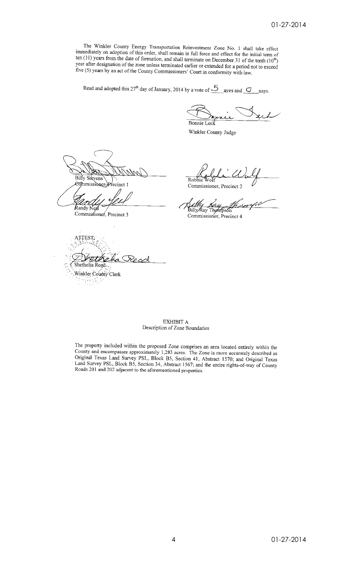The Winkler County Energy Transportation Reinvestment Zone No. 1 shall take effect immediately on adoption of this order, shall remain in full force and effect for the initial term of ten (10) years from the date of formation, and shall terminate on December 31 of the tenth  $(10^{th})$ year after designation of the zone unless terminated earlier or extended for a period not to exceed five (5) years by an act of the County Commissioners' Court in conformity with law.

Read and adopted this 27<sup>th</sup> day of January, 2014 by a vote of  $\frac{5}{2}$  ayes and  $\frac{3}{2}$  nays.

Bonnie Leck

Winkler County Judge

Billy Stevens recinct 1

Randy N

Commissioner, Precinct 3

TEST,  $\subset$ ç Shethelia Reed.

Winkler County Clerk

Robbie ⊁oโf

Commissioner, Precinct 2

Billy Ray Thompson

Commissioner, Precinct 4

EXHIBIT A Description of Zone Boundaries

The property included within the proposed Zone comprises an area located entirely within the County and encompasses approximately 1,283 acres. The Zone is more accurately described as Original Texas Land Survey PSL, Block B5, Section 41, Abstract 1570; and Original Texas Land Survey PSL, Block B5, Section 34, Abstract 1567; and the entire rights-of-way of County Roads 201 and 202 adjacent to the aforementioned properties.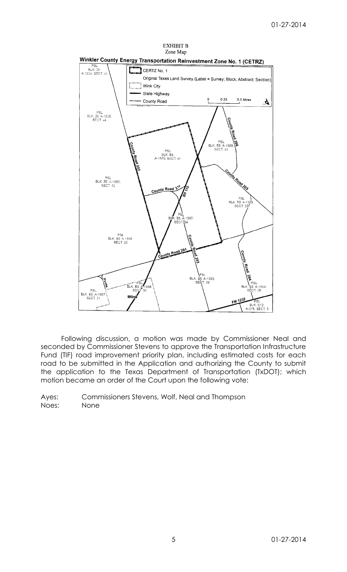



Following discussion, a motion was made by Commissioner Neal and seconded by Commissioner Stevens to approve the Transportation Infrastructure Fund (TIF) road improvement priority plan, including estimated costs for each road to be submitted in the Application and authorizing the County to submit the application to the Texas Department of Transportation (TxDOT); which motion became an order of the Court upon the following vote: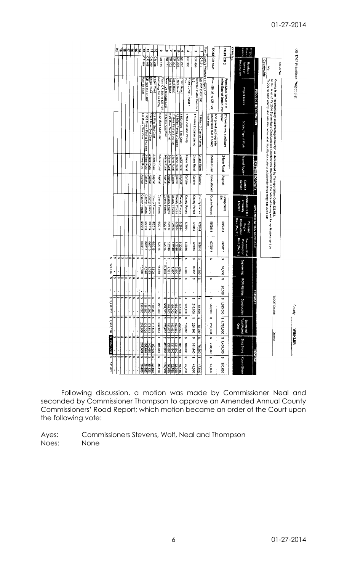# 01-27-2014

| 8                | 6       | ä       | ₹        | ま       | la,                      | Ħ,                    | ø                 | $\frac{1}{2}$                 | $\sharp$                  | $\vec{a}$            | 40                                           | œ                      | N                        | ø                       | $\cdot$                   | Á                               | u                           | Ņ                             |                           |                                         |                                                                        |                                                             | Examples. | Priority<br>Project<br>lumbe                          |                         |                                                                                                                                                                                                                                                                                                                                                                          |
|------------------|---------|---------|----------|---------|--------------------------|-----------------------|-------------------|-------------------------------|---------------------------|----------------------|----------------------------------------------|------------------------|--------------------------|-------------------------|---------------------------|---------------------------------|-----------------------------|-------------------------------|---------------------------|-----------------------------------------|------------------------------------------------------------------------|-------------------------------------------------------------|-----------|-------------------------------------------------------|-------------------------|--------------------------------------------------------------------------------------------------------------------------------------------------------------------------------------------------------------------------------------------------------------------------------------------------------------------------------------------------------------------------|
|                  |         |         |          |         |                          |                       | CR 404            | CR 405                        | CR 209                    | CR 208               | CR 133                                       |                        | <u>tekaaz</u><br>Lekipoi | $\frac{1}{2}$ CR 203    | $CR$ 206                  | CR 202                          | CR 306                      | CR 409                        | ICR 211                   | Your County's Prioritized Project List: | EX#2 CR 1041                                                           | EX#1 CR 2                                                   |           | <b>Designation</b><br>Name or<br>Roadway              |                         | Countywide<br>Yes or No<br> 종                                                                                                                                                                                                                                                                                                                                            |
|                  |         |         |          |         |                          |                       | Hwy 18 East       | CR 401 to CR 402              | <b>Entire Road</b>        | <b>Entire Road</b>   | excluding SH 18 ROW<br>From CR 304 to CR 107 | From 104 to State Line | <b>Entire Road</b>       | <b>Enlire Road</b>      | <b>Entire Road</b>        | <b>Entire Road</b>              | From Curve - West 1<br>a in | 28<br>Between Cattle Guards 1 | CR 202 to CR 203          |                                         | From SH 37 to CR 1051                                                  | From Main Street to 2<br>miles East of Driller Drive repair |           | Project Limits                                        | PROJECT INFORMATION     |                                                                                                                                                                                                                                                                                                                                                                          |
|                  |         |         |          |         |                          | 4.8 Miles - Seal Coat |                   | 1.058 Miles - Paving 2-course | 3.345 Miles Seal Coat     | 2.2 Miles Seal Coat  | 4.42 Miles Seat Coat                         | 10 Miles Seal Coat     | 2.93 Miles Seal Coat     | 2 Miles Paving 2 course | 1.3 Miles Paving 2 Course | 3.852 Miles - Seal Coat         | 1 Mile 2-course Paving      | 1.8 miles 2 course paving     | 7 Miles - 2 Course Paving |                                         | county road due to heavy<br><b>Tuck use</b><br>Add gravel and re-grade | 2* Overlay and spot base                                    |           | Scope / Type of Work                                  |                         | $\overline{\text{Tx}007}$ to each county, and can also be found at http://flp.dot.state.tx.us/pub/txdot-info/energy/edc-2014.pdf<br>NOTE: A list of FY 2014 Economically Disadvantaged Counties was provided for in the notice of the request for applications sent by<br>County is an "economically disadvantaged county" as determined by Transportation Code 222.053. |
|                  |         |         |          |         |                          | 2-lane Rural          | 2-lane Rural      | 2-lane Rural                  |                           | 2-lane Rural         | 2-lane Rural                                 | 2-lane Rural           | 2-lane Rural             | 2-lane Rural            | 2-lane Rural              | 2-lane Rural                    | 2-lane Rural                | 2-lane Rural                  | 2-lane Rural              |                                         | 2-lane Rural                                                           | 2-lane Rural                                                |           | Type of Facility                                      |                         |                                                                                                                                                                                                                                                                                                                                                                          |
|                  |         |         |          |         |                          | Asphalt               | Caliche           | Asphalt                       |                           | Asphalt              | Asphalt                                      | Asphalt                | Asphalt                  | Caliche                 | Caliche                   | Asphait                         | Caliche                     | Caliche                       | Caliche                   |                                         | Un-surfaced                                                            | Asphalt                                                     |           | Surface<br>Existing                                   | EXISTING ROADWAY        |                                                                                                                                                                                                                                                                                                                                                                          |
|                  |         |         |          |         |                          | <b>County Forces</b>  | County Forces     | County Forces                 |                           | <b>County Forces</b> | County Farces                                | County Farces          | County Forces            | County Forces           | County Farces             | <b>County Forces</b>            | County Forces               | County Forces                 | County Forces             |                                         | County Forces                                                          | Competitive<br>Bid                                          |           | Competitive Bid<br>ar Caunty<br>Forces?               |                         |                                                                                                                                                                                                                                                                                                                                                                          |
|                  |         |         |          |         |                          | 102/9                 | 102/9             | 102/9                         |                           | 102/9                | 6/2014                                       | 47014                  | +102/9                   | 6/2014                  | 102/9                     | 6/2014                          | 6/2014                      | 9/2014                        | 4102/9                    |                                         | 05/2014                                                                | 09/2014                                                     |           | Date (Mo./Yr.)<br>Construction<br>Proposed<br>Begin   | IMPLEMENTATION SCHEDULE |                                                                                                                                                                                                                                                                                                                                                                          |
|                  |         |         |          |         |                          | 9102/9                | 9102/9            | 8/2018                        | 9102/9                    |                      | 9102/9                                       | 9102/9                 | 8102/9                   | 910279                  | 9102/9                    | 9102/9                          | 9102/9                      | 9102/9                        | 8/2016                    |                                         | 11/02/10                                                               | 5102/90                                                     |           | <b>Proposed End</b><br>Date (Mo./Yr.)<br>Construction |                         |                                                                                                                                                                                                                                                                                                                                                                          |
| ŧ۵<br>⇔          | ₩       | ł۵      | ta.      | ç,      | €A                       | €Ą<br>12.000          | €A<br>6,348       | €A<br>8,363                   | ۰                         | <b>OOSS</b>          | ₩<br>11,050                                  | ø<br>25,000            | G)<br>7,325              | e۹<br>7.800             | ÷,<br>008'1               | s,<br>0.630                     | ₩<br>000'9                  | ₩<br>10,800                   | ø<br>4,200                |                                         | ₩<br>ï                                                                 | 69<br>000'05                                                |           | Engineering                                           |                         |                                                                                                                                                                                                                                                                                                                                                                          |
| t.<br>ŧ٩         | e,      | مە      | ç,       | e,      | ÷<br>$\bar{\phantom{a}}$ | ₩                     | 49<br>ł,          | t.                            | ÷                         |                      | ø                                            | ÷                      | 69<br>i,                 | e<br>ï                  | ç,                        | ø                               | €Ą                          | €Ą                            | en.                       |                                         | 69                                                                     | ÷,<br>20,000                                                |           | ROW/Utilities                                         | Щ\$Е                    |                                                                                                                                                                                                                                                                                                                                                                          |
| ta,<br><b>GA</b> |         |         |          |         |                          | 240,000               | 126,960           | 167,250                       | 110,000                   |                      | tA<br>221,000                                | 000'009                | 146,500                  | 156,000                 | t4<br>156,000             | 192.600                         | 120,000                     | ta.<br>216,000                | Ø<br>000'P9               |                                         | 250,000                                                                | \$1,680,000                                                 |           | Construction                                          | NTE.                    | <b>TxDOT District:</b>                                                                                                                                                                                                                                                                                                                                                   |
| ÷                | 4<br>ŧĄ | ₩<br>49 | 69       | ٠       | ta                       | e,<br>252,000         | e<br>133,308      | 69<br>175,613                 | ø<br>115,500              |                      | ø<br>232,050                                 | ₩<br>\$25,000          | t,<br>153,825            | Ģ<br>163,800            | ç,<br>163,800             | 40<br>202,230                   | 4<br>126,000                | ÷,<br>226,800                 | U)<br>88,200              |                                         | $\overline{ }$<br>250,000                                              | \$ 1750.000                                                 |           | Total Project<br>Estimated<br>Sost                    |                         | pdessa                                                                                                                                                                                                                                                                                                                                                                   |
| th.<br>l۳        | ø       | ø       | 69<br>t, | ø<br>ç, | ŧ,<br>t.                 | 49<br>201,600<br>ø    | m<br>106,646<br>5 | 69<br>140,490<br>ø            | $\bullet$<br>82,400<br>., |                      | ÷<br>185,640<br>64                           | 47<br>420,000<br>en.   | ₩<br>123,060<br>5        | H<br>131,040<br>.,      | ÷<br>131,DAD<br>ē.        | $\overline{r}$<br>161,784<br>44 | 49<br>008,001               | ø<br>181,440                  | e,<br>09502<br>5          |                                         | $\overline{ }$<br>200,000                                              | \$ 1,400,000                                                |           | State Share                                           | <b>FUNDING</b>          |                                                                                                                                                                                                                                                                                                                                                                          |
|                  |         |         |          |         |                          | <b>30.400</b>         | 26,662            |                               | $rac{38}{25}$             |                      | 46,410                                       | 105,000                | 30,765                   | 32,760                  | 32,760                    | <b>40,446</b>                   | 44<br>25,200                | 47<br>45,360                  | 17,640                    |                                         | ÷<br>00003                                                             | t.<br>350,000                                               |           | County Share                                          |                         |                                                                                                                                                                                                                                                                                                                                                                          |

Following discussion, a motion was made by Commissioner Neal and seconded by Commissioner Thompson to approve an Amended Annual County Commissioners' Road Report; which motion became an order of the Court upon the following vote: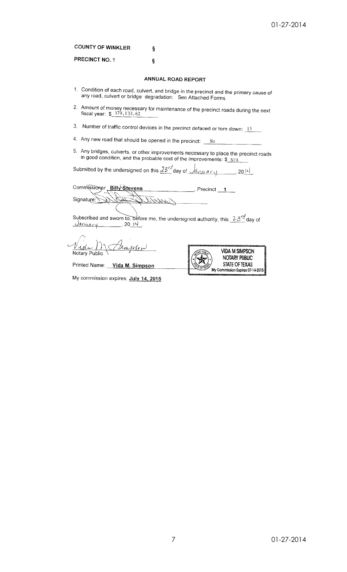|  | <b>COUNTY OF WINKLER</b> |  |
|--|--------------------------|--|
|  |                          |  |

PRECINCT NO. 1

# ANNUAL ROAD REPORT

- 1. Condition of each road, culvert, and bridge in the precinct and the primary cause of any road, culvert or bridge degradation. See Attached Forms.
- 2. Amount of money necessary for maintenance of the precinct roads during the next fiscal year:  $\frac{$379,133.62}{2}$
- 3. Number of traffic control devices in the precinct defaced or torn down:  $15$

Ś

- 4. Any new road that should be opened in the precinct:  $\frac{N_O}{N_O}$
- 5. Any bridges, culverts, or other improvements necessary to place the precinct roads<br>in good condition, and the probable cost of the improvements:  $\frac{\$N/A}$

Submitted by the undersigned on this  $\frac{33^{r}}{s}$  day of  $\sqrt{a_{r} \mu \alpha r}$ , 20<sup>14</sup>.

Commissioner Billy Stevens  $\frac{1}{\sqrt{1-\frac{1}{2}}}$ Signature:

Subscribed and sworn to, before me, the undersigned authority, this  $23\frac{r}{4}$  day of  $\frac{14}{11}$ <u>January</u>

Notary Public



Printed Name: Vida M. Simpson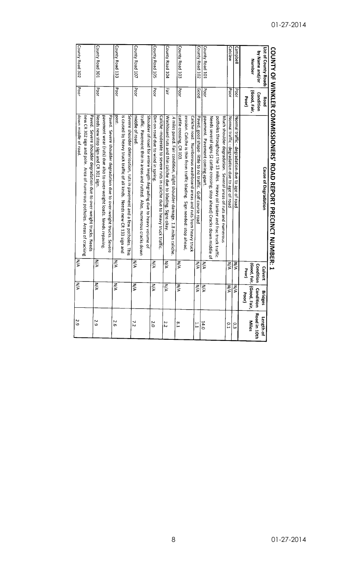|                      |              | <b>CONTINUES COMMITTED SONT ACTS CONTINUES IN A SONGERY.</b>               |                         |                                 |                |
|----------------------|--------------|----------------------------------------------------------------------------|-------------------------|---------------------------------|----------------|
| List of County Roads | Road         | <b>Cause of Degradation</b>                                                | Culvert                 | <b>Bridges</b>                  | Length of      |
| by Name and/or       | Condition    |                                                                            | Condition               | Condition                       | Road in 10th   |
| Number               | (Good, Fair, |                                                                            |                         | (Good, Fair, CGood, Fair,       | Miles          |
|                      | Poor)        |                                                                            | Poor                    | Poor                            |                |
| Campbell             | Poor         | Normal traffic - degradation due to age of road                            | УW                      | N/A                             | Ο.<br>Ω        |
| Catclaw              | Poor         | Normal traffic - degradation due to age of road                            | $\overline{\mathsf{x}}$ | $\overline{\tilde{\mathsf{z}}}$ | 0.1            |
|                      |              | Much shoulder degradation. Several areas of ruts and numerous              |                         |                                 |                |
|                      |              | potholes throughout the 13 miles. Heavy oil tanker and frac truck traffic. |                         |                                 |                |
|                      |              | Needs several signs (2 cattle crossing; stop ahead) Cracks down middle of  |                         |                                 |                |
| County Road 101      | Poor         | pavement. Pavement coming apart.                                           | λA                      | ŠΔ                              | 14.0           |
| County Road 102      | poop         | Paved, good shape-little to no traffic. Golf course road                   | ÑА                      | M/A                             | Ë              |
|                      |              | Caliche road. Numberous washboard areas and ruts from heavy truck          |                         |                                 |                |
|                      |              | erosion. Caliche is thin from traffic blading. Sign needed: stop ahead,    |                         |                                 |                |
| County Road 103      | <b>Poor</b>  | cattle crossing, CR 103.                                                   | NA                      | ΜA                              | $\frac{8}{1}$  |
|                      |              | .4 miles paved. Fair condition, slight shoulder damage. 1.8 miles caliche  |                         |                                 |                |
| County Road 104      | Fair         | Washboard ruts and thin caliche due to blading. Signs okay                 | ξ                       | NA                              | 2.2            |
|                      |              | Caliche -moderate to severe ruts in caliche due to heavy truck traffic.    |                         |                                 |                |
| County Road 105      | <b>Poor</b>  | Dirt on road due to wind in spring.                                        | λÄ                      | ŽΑ                              | 2.0            |
|                      |              | Shoulder of road for entire length degrading due to heavy volume of        |                         |                                 |                |
|                      |              | traffic. Pavement thin in areas and rutted. Also, numerous cracks down     |                         |                                 |                |
| County Road 107      | Poor         | middle of road                                                             | NA                      | ξ                               | $\overline{2}$ |
|                      |              | Severe shoulder deterioation, ruts in pavement and a few potholes. This    |                         |                                 |                |
|                      |              | is caused by heavy truck traffic of all kinds. Needs new CR 133 sign and   |                         |                                 |                |
| County Road 133      | Poor         | post.                                                                      | N/A                     | N/A                             | 2.6            |
|                      |              | Paved. Severe shoulder degradation due to over-weight trucks. Severe       |                         |                                 |                |
|                      |              | pavement wear (ruts) due also to over-weight loads. Needs repaving         |                         |                                 |                |
| County Road 301      | Poor         | Needs new stop sign and CR 301 sign.                                       | N/A                     | ΝA                              | 2.9            |
|                      |              | Paved. Severe shoulder degradation due to over-weight trucks. Needs        |                         |                                 |                |
|                      |              | new CR 302 sign and pole. Area of numerous potholes. Areas of cracking     |                         |                                 |                |
| County Road 302      | Poor         | down middle of road                                                        | ŽΑ                      | NA                              | 2.9            |
|                      |              |                                                                            |                         |                                 |                |

# COUNTY OF WINKLER COMMISSIONERS' ROAD REPORT PRECINCT NUMBER: 1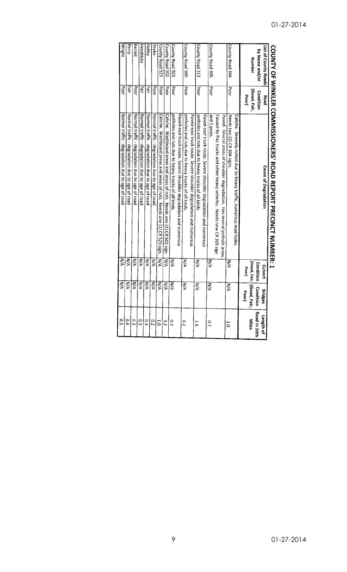|                      |              | COUNTY OF WINKLER COMMISSIONERS' ROAD REPORT PRECINCT NUMBER: 1         |               |                             |               |
|----------------------|--------------|-------------------------------------------------------------------------|---------------|-----------------------------|---------------|
| List of County Roads | Road         | <b>Cause of Degradation</b>                                             | Culvert       | <b>Bridges</b>              | Length of     |
| by Name and/or       | Condition    |                                                                         | Condition     | Condition                   | Road in 10th  |
| <b>Number</b>        | (Good, Fair, |                                                                         |               | (Good, Fair,   (Good, Fair, | <b>Miles</b>  |
|                      | Poor)        |                                                                         | Poor)         | Poor)                       |               |
|                      |              | Caliche. Severely rutted due to heavy traffic, numerous mud holes       |               |                             |               |
| County Road 304      | Poor         | Needs two (2) CR 304 signs                                              | ξ             | N/A                         | ت<br>0        |
|                      |              | Paved. Several areas of shoulder degradation. Has several pothole areas |               |                             |               |
|                      |              | Caused by frac trucks and other heavy vehicles. Needs new CR 305 sign   |               |                             |               |
| County Road 305      | Poor         | and 2 posts                                                             | WА            | N/A                         | C)            |
|                      |              | Paved-east truck route. Severe shoulder degradation and numerous        |               |                             |               |
| County Road 313      | <b>Poor</b>  | potholes and ruts due to heavy trucks of all kinds.                     | λÁ            | NA                          | با<br>به      |
|                      |              | Paved-east truck route. Severe shoulder degradation and numerous        |               |                             |               |
| County Road 500      | Poor         | potholes and ruts due to heavy trucks of all kinds.                     | NA            | V/N                         | ς.            |
|                      |              | Paved-east truck route. Severe shoulder degradation and numerous        |               |                             |               |
| County Road 501      | Poor         | potholes and ruts due to heavy trucks of all kinds.                     | N/A           | NА                          | 0.2           |
| County Road 502      | Poor         | Caliche. Washboard areas and areas of ruts. Needs one (1) CR 502 sign.  | WА            | ΝÄ                          | ς<br>Σ        |
| County Road 525      | Poor         | Caliche. Washboard areas and areas of ruts. Needs one (1) CR 525 sign.  | $\frac{1}{2}$ | ΜA                          | ö             |
| <b>Drake</b>         | Poor         | Normal traffic - degradation due to age of road                         | NA            | ΜA                          | 0.2           |
| <b>Halley</b>        | Fair         | Normal traffic - degradation due to age of road                         | $\frac{2}{5}$ | NA                          | م<br>ته       |
| Hendricks            | 픯            | Normal traffic - degradation due to age of road                         | NA            | ŠХ                          | ςő            |
| Kermit               | Poor         | Normal traffic - degradation due to age of road                         | ŠХ            | ΚÄ                          | Ο.            |
| Perry                | Lair<br>H    | Normal traffic - degradation due to age of road                         | NA.           | N/A                         | $\frac{0}{4}$ |
| Wright               | <b>Poor</b>  | Normal traffic - degradation due to age of road                         | NΑ            | WΜ                          | ς             |

# **COUNTY OF SEXIMED CONNINGING CONFINITION PEDORT PRECINITALIA** NEP.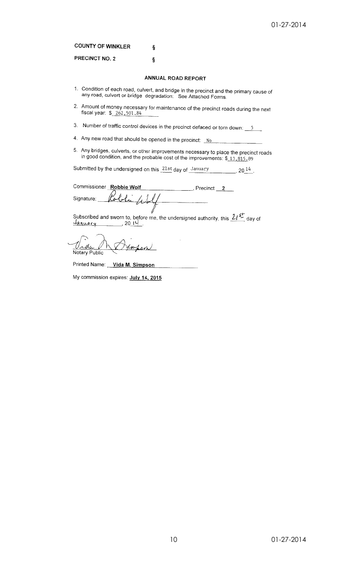**COUNTY OF WINKLER** 

PRECINCT NO. 2

# ANNUAL ROAD REPORT

Ş

ş

- 1. Condition of each road, culvert, and bridge in the precinct and the primary cause of any road, culvert or bridge degradation: See Attached Forms.
- 2. Amount of money necessary for maintenance of the precinct roads during the next fiscal year: \$ 262,501.84
- 3. Number of traffic control devices in the precinct defaced or torn down:  $\frac{5}{2}$
- 4. Any new road that should be opened in the precinct: No
- 5. Any bridges, culverts, or other improvements necessary to place the precinct roads<br>in good condition, and the probable cost of the improvements:  $$13,815,89$

Submitted by the undersigned on this 21st day of January  $\sim$  20  $^{14}$  .

Commissioner Robbie Wolf  $\frac{1}{2}$ , Precinct  $\frac{2}{2}$ Signature:

Subscribed and sworn to, before me, the undersigned authority, this  $2I \frac{sf}{s}$  day of  $\frac{d$  and  $\alpha$ 

d, Notary Public

Printed Name: Vida M. Simpson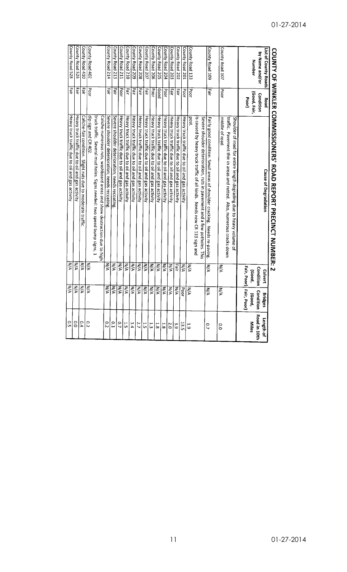| $\frac{1}{2}$        |              | <b>SEES CONSINUATION CAFINAL SEE SEE CAFINAL RECENSIONS: N</b>            |                  |                         |                |
|----------------------|--------------|---------------------------------------------------------------------------|------------------|-------------------------|----------------|
| List of County Roads | Road         | <b>Cause of Degradation</b>                                               | Culvert          | <b>Bridges</b>          | Length of      |
| by Name and/or       | Condition    |                                                                           | Condition        | Condition               | Road in 10th   |
| Number               | (Good, Fair, |                                                                           | (Good,           | (Good,                  | Miles          |
|                      | Poor)        |                                                                           |                  | Fair, Poor) Fair, Poor) |                |
|                      |              | Shoulder of road for entire length degrading due to heavy volume of       |                  |                         |                |
|                      |              | traffic. Pavement thin in areas and rutted. Also, numerous cracks down    |                  |                         |                |
| County Road 107      | <b>Poor</b>  | middle of road                                                            | WА               | WД                      | C.O            |
| County Road 109      | Fair         | Fairly good condition. Small areas of shoulder cracking. Needs re-paving. | ΜĀ               | WД                      | $\overline{C}$ |
|                      |              | Severe shoulder deterioration, ruts in pavement and a few potholes. This  |                  |                         |                |
|                      |              | is caused by heavy truck traffic of all kinds. Needs new CR 133 sign and  |                  |                         |                |
| County Road 133      | Poor         | post                                                                      | N/A              | N/A                     | ت<br>6         |
| County Road 201      | <b>Poor</b>  | Heavy truck traffic due to oil and gas activity                           | ΜA               | Poor                    | 13.5           |
| County Road 202      | liair        | Heavy truck traffic due to oil and gas activity                           | Fair             | <b>N/A</b>              | ίs<br>Θ        |
| County Road 203      | Fair         | Heavy truck traffic due to oil and gas activity                           | N/A              | N/A                     | 2.0            |
| County Road 204      | Poor         | Heavy truck traffic due to oil and gas activity                           | ΜA               | $\leq$                  | 1.8            |
| County Road 205      | poog         | Heavy truck traffic due to oil and gas activity                           | N/A              | МÁ                      | $\frac{1}{8}$  |
| County Road 206      | <b>Poor</b>  | Heavy truck traffic due to oil and gas activity                           | V/N              | ŠД                      | <b>ت</b>       |
| County Road 207      | Tair         | Heavy truck traffic due to oil and gas activity                           | N/A              | МA                      | ĩя             |
| County Road 208      | air<br>E     | Heavy truck traffic due to oil and gas activity                           | ξ                | ΜÁ                      | 2.7            |
| County Road 209      | Fair         | Heavy truck traffic due to oil and gas activity                           | NA               | $\frac{1}{\lambda}$     | ن<br>4         |
| County Road 210      | Tair         | Heavy truck traffic due to oil and gas activity                           | ŇД               | NΑ                      | با<br>ب        |
| County Road 211      | Poor         | Heavy truck traffic due to oil and gas activity                           | ΚÄ               | ζ                       | CO.            |
| County Road 213      | Fair         | Severe shoulder deterioration; needs recoating                            | žζ               | ξÁ                      | C.1            |
| County Road 214      | Pal<br>P     | Severe shoulder deterioration; needs recoating                            | $\sum_{i=1}^{n}$ | КA.                     | $\overline{C}$ |
|                      |              | Caliche-numerous ruts, washboard areas and show destruction due to high   |                  |                         |                |
|                      |              | truck traffic. Several mud holes. Signs needed: two speed bump signs, 1   |                  |                         |                |
| County Road 402      | Poor         | dip sign and CR 402                                                       | N/A              | ξ                       | $\overline{c}$ |
| County Road 410      | Fair         | Caliche-fair condition. Slight ruts due to moderate traffic               | ξ                | NΑ                      | 0.4            |
| County Road 526      | Eart         | Heavy truck traffic due to oil and gas activity                           | N/A              | N/A                     | 0.0            |
| County Road 528      | Fair         | Heavy truck traffic due to oil and gas activity                           | ΜA               | ΝÄ                      | 0.5            |
|                      |              |                                                                           |                  |                         |                |

# COUNTY OF WINKIER COMMISSIONERS' ROAD REPORT PRECINCT NUMBER: 2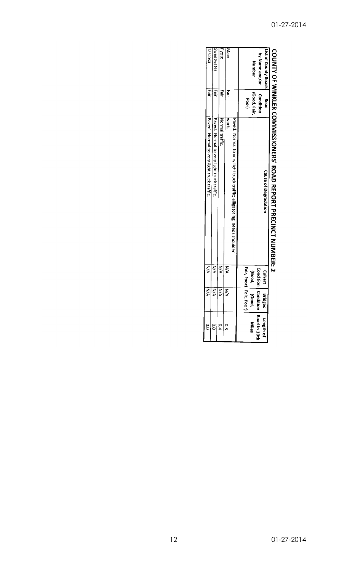|                                        |                           | COUNTAINMENT CONNECTATIVE ENGINEERING AND A THRECINGLY DESCRIPTIVE COUNTAINMENT COUNTING |                                            |                                 |                      |
|----------------------------------------|---------------------------|------------------------------------------------------------------------------------------|--------------------------------------------|---------------------------------|----------------------|
| List of County Roads<br>by Name and/or | Condition<br>Road<br>Post | <b>Cause of Degradation</b>                                                              | Culvert                                    | n<br>a<br>ក្លិ                  | Length of            |
| Number                                 | (Good, Fair,<br>Poor)     |                                                                                          | Fair, Poor) Fair, I<br>Condition<br>(Good, | Comd<br>(Good,<br>Poor)<br>iign | Road in 10t<br>Niles |
|                                        |                           | Paved. Normal to very light truck traffic; alligatoring; needs shoulder                  |                                            |                                 |                      |
| Main                                   | Eair                      | work.                                                                                    | NA                                         | ξÁ                              | ں:<br>سا             |
| Pyote                                  | ari<br>⊒                  | Normal traffic.                                                                          | NA<br>R                                    | λÄ                              |                      |
| ISWeetwater                            | Fair                      | Paved. Normal to very light truck traffic.                                               | Z                                          | $\zeta$                         | $\frac{1}{2}$        |
| 13SC055                                | legir                     | Paved. Normal to very light truck traffic.                                               | NA                                         | NA                              |                      |
|                                        |                           |                                                                                          |                                            |                                 |                      |

# COINTY OF WINKI FRICONNISSIONERS. 3 1 i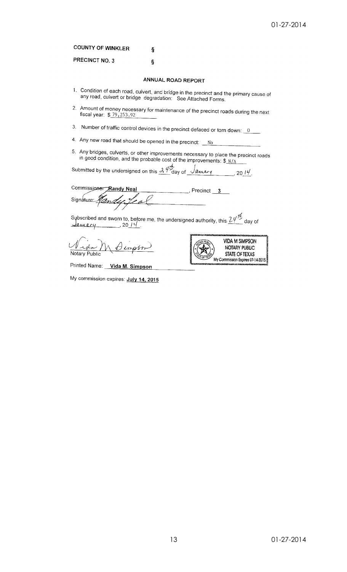## **COUNTY OF WINKLER** Ş

PRECINCT NO. 3 Ş

## ANNUAL ROAD REPORT

- 1. Condition of each road, culvert, and bridge in the precinct and the primary cause of any road, culvert or bridge degradation: See Attached Forms.
- 2. Amount of money necessary for maintenance of the precinct roads during the next fiscal year:  $$79,253.92$
- 3. Number of traffic control devices in the precinct defaced or torn down:  $\frac{0}{0}$
- 4. Any new road that should be opened in the precinct:  $\underline{\phantom{a}}$  No
- 5. Any bridges, culverts, or other improvements necessary to place the precinct roads in good condition, and the probable cost of the improvements:  $\frac{\mathcal{S} \cup \mathcal{N}}{\mathcal{N}}$

Submitted by the undersigned on this  $\frac{\partial f}{\partial \alpha}$  day of  $\frac{\partial f}{\partial \alpha}$  2014.

Commissioner Randy Neal . Precinct  $3$ Signature:

Notary Public



Printed Name: Vida M. Simpson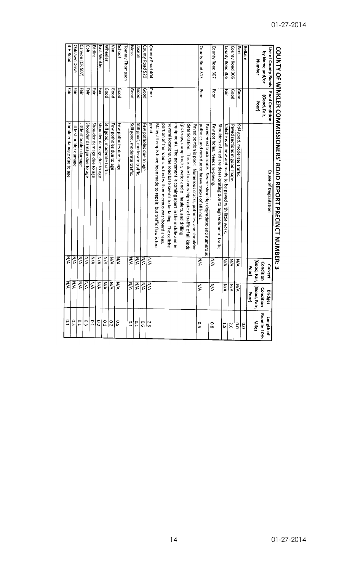|                                       |              | COUNTY OF WINKLER COMMISSIONERS' ROAD REPORT PRECINCT NUMBER: 3        |                     |                             |                |
|---------------------------------------|--------------|------------------------------------------------------------------------|---------------------|-----------------------------|----------------|
| List of County Roads   Road Condition |              | <b>Cause of Degradation</b>                                            | Culvert             | <b>Bridges</b>              | Length of      |
| by Name and/or                        | (Good, Fair, |                                                                        | Condition           | Condition                   | Road in 10th   |
| Number                                | Poor         |                                                                        |                     | (Good, Fair,   (Good, Fair, | <b>Miles</b>   |
|                                       |              |                                                                        | Poor                | Poor                        |                |
| Bellaire                              |              |                                                                        |                     |                             | $\frac{1}{2}$  |
| Bert                                  | poop         | Still good, moderate traffic.                                          | NA                  | ΚÄ                          | O.O            |
| County Road 306                       | poog         | Paved sections in good shape                                           | $\sum_{i=1}^{n}$    | $\sum_{i=1}^{n}$            | 9.2            |
| County Road 306                       | Fair         | Caliche is all new and ready to be paved with little work.             | ŽΑ                  | WΑ                          | $\frac{1}{8}$  |
|                                       |              | Shoulders of road are deteriorating due to high volume of traffic.     |                     |                             |                |
| County Road 307                       | Poor         | Few pot holes. Needs re-paving                                         | N/A                 | ΜA                          | 0.8            |
|                                       |              | Paved -east truck route. Severe shoulder degradatio and numerous       |                     |                             |                |
| County Road 313                       | Poor         | potholes and ruts due to heavy trucks of all kinds                     | ŽΑ                  | N/A                         | C.S            |
|                                       |              | Paved portion is poor. Numerous cracks, potholes, and shoulder         |                     |                             |                |
|                                       |              | deterioration. This is due to a very high rate of traffic of all kinds |                     |                             |                |
|                                       |              | (pick-ups, dump trucks, water and oil haulers, and drilling            |                     |                             |                |
|                                       |              | equipment). The pavement is coming apart in the middle and in          |                     |                             |                |
|                                       |              | several locations, the road base seems to be failing. The caliche      |                     |                             |                |
|                                       |              | portion of the road is rutted with numerous washboard areas.           |                     |                             |                |
|                                       |              | Many attempts have been made to repair, but traffic flow is too        |                     |                             |                |
| County Road 404                       | <b>Poor</b>  | leans                                                                  | ŊΑ                  | $\overline{\mathsf{x}}$     | 5.6            |
| County Road 520                       | poog         | Few potholes due to age                                                | $\sum_{\mathbf{k}}$ | ΚÁ                          | o.e            |
| Joseph                                | poop         | Still good, moderate traffic                                           | ξ                   | N/A                         | D.1            |
| Mesa                                  | poog         | Still good, moderate traffic.                                          | ΨÁ                  | ΜA                          | C.1            |
| Tommy Thompson                        |              |                                                                        |                     |                             |                |
| <b>School</b>                         | poog         | Few potholes due to age                                                | ΜA                  | WА                          | C.S            |
| <b>ue</b>                             | poog         | Few potholes due to age                                                | λA                  | NA                          | $\overline{c}$ |
| <b>Wheeler</b>                        | poog         | Still good, moderate traffic.                                          | ⋚                   | N/A                         | <b>P.1</b>     |
| East Winkler                          | Fair         | Shoulder damage due to age                                             | ⋚                   | N/A                         | $\overline{c}$ |
| Eddins                                | Fair         | Shoulder damage due to age                                             | λÁ                  | N/A                         | E0             |
| Colt                                  | Fair         | Shoulder damage due to age                                             | ΜA                  | V/N                         | ο<br>ω         |
| Canyon (CR 507)                       | Fair         | Little shoulder damage                                                 | УN                  | $\overline{\mathsf{x}}$     | $\frac{1}{2}$  |
| Oaklawn Drive                         | Fair         | Little shoulder damage                                                 | l N                 | ΜA                          | ς3             |
| 4-H Road                              | Fair         | Shoulder damage due to age                                             | ΜA                  | İNA                         | C.             |
|                                       |              |                                                                        |                     |                             |                |

# COUNTY OF WINKLER COMMISSIONERS' ROAD REPORT PRECINCT NIINRER,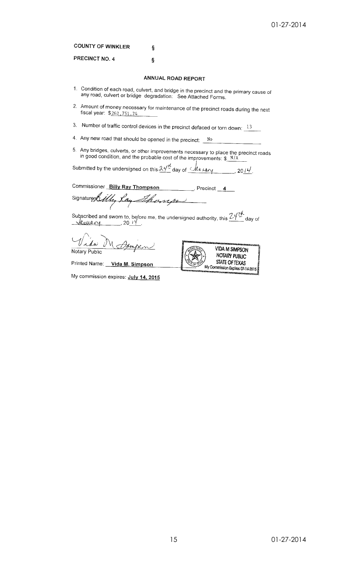**COUNTY OF WINKLER** ş

PRECINCT NO. 4

# ANNUAL ROAD REPORT

 $\tilde{\mathbf{S}}$ 

- 1. Condition of each road, culvert, and bridge in the precinct and the primary cause of any road, culvert or bridge degradation: See Attached Forms.
- 2. Amount of money necessary for maintenance of the precinct roads during the next fiscal year: \$262,751.74
- 3. Number of traffic control devices in the precinct defaced or torn down:  $13$
- 4. Any new road that should be opened in the precinct: No
- 5. Any bridges, culverts, or other improvements necessary to place the precinct roads<br>in good condition, and the probable cost of the improvements:  $\frac{\mathcal{S}}{\mathcal{S}} = \frac{N}{A}$

Submitted by the undersigned on this  $2\not\!\frac{\mu}{2}$  day of  $\mathcal{L}$  the vary  $\frac{1}{2014}$ , 2014.

Commissioner Billy Ray Thompson Precinct 4 Signature Billy Lay Thomas

Subscribed and sworn to, before me, the undersigned authority, this  $\frac{24 \pi}{4}$  day of  $\frac{24}{4}$  day of

Vida M Notary Public

Printed Name: Vida M. Simpson

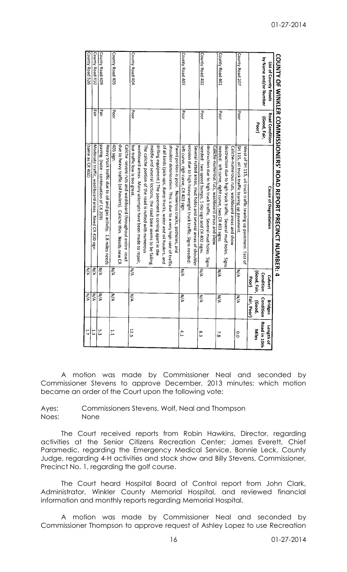|                       |                       | CONNIX OF MINKLER COMMISSIONERS' ROAD REPORT PARCINING SOMMINING COMPLAY OF MINKLER COMMISSION |              |                |               |
|-----------------------|-----------------------|------------------------------------------------------------------------------------------------|--------------|----------------|---------------|
| List of County Roads  | <b>Road Condition</b> | Cause of Degradation                                                                           | Culvert      | <b>Bridges</b> | Length of     |
| by Name and/or Number | (Good, Fair,          |                                                                                                | Condition    | Condition      | Road in 10th  |
|                       | Poor                  |                                                                                                | (Good, Fair, | (Good,         | Miles         |
|                       |                       |                                                                                                | Poor         | 픻<br>; Poor)   |               |
|                       |                       | West of SH 115, oil truck traffic tearing up pavement. East of                                 |              |                |               |
| County Road 207       | lpoor                 | SH 115, oil truck traffic tearing up pavement.                                                 | ⋚            | NA             | O.O           |
|                       |                       | Caliche-numerous ruts, washboard areas and show                                                |              |                |               |
|                       |                       | destruction due to high truck traffic. Several mud holes. Signs                                |              |                |               |
| County Road 401       | Poor                  | needed: left curve, right curve, two CR 401 signs                                              | ξ            | ŽΑ             | $\frac{2}{8}$ |
|                       |                       | Caliche-numerous ruts, washboard areas and show                                                |              |                |               |
|                       |                       | destruction due to high truck traffic. Several mud holes. Signs                                |              |                |               |
| County Road 402       | Poor                  | needed: two speed bumps, 1 dip sign and CR 402 signs                                           | ŽА           | NA             | εs            |
|                       |                       | Several rutted areas, mud holes and several areas of shoulder                                  |              |                |               |
|                       |                       | erosion due to high heavy-weight truck traffic. Signs needed:                                  |              |                |               |
| County Road 403       | Poor                  | left curve, righ curve, CR 403 sign.                                                           | УA           | NA             | 4.1           |
|                       |                       | Paved portion is poor. Numerous cracks, potholes, and                                          |              |                |               |
|                       |                       | shoulder deterioration. This is due to a very high rate of traffic                             |              |                |               |
|                       |                       | of all kinds (pick-ups, dump trucks, water and oil haulers, and                                |              |                |               |
|                       |                       | drilling equipment.) The pavement is coming apart in the                                       |              |                |               |
|                       |                       | middle and several loctions, the road base seems to be failing                                 |              |                |               |
|                       |                       | The caliche portion of the road is rutted with numerous                                        |              |                |               |
|                       |                       | washboard areas. Many attempts have been made to repair,                                       |              |                |               |
| County Road 404       | Poor                  | but traffic low is too great.                                                                  | ξ            | NA             | 12.5          |
|                       |                       | Caliche -severe ruts and washboard throughout entire road                                      |              |                |               |
|                       |                       | due to heavy traffic (oil haulers). Caliche thin. Needs new CR                                 |              |                |               |
| County Road 405       | Poor                  | 405 sign.                                                                                      | ⋚            | λÁ             | 1.1           |
|                       |                       | Heavy truck traffic due to oil and gas activity. 1.8 miles needs                               |              |                |               |
| County Road 409       | 픬                     | paving. (note - continuation of CR 209)                                                        | ξÁ           | ξ              | ں<br>سا       |
| County Road 410       | 픻                     | Moderate traffic, washboard areas. Need CR 410 sign.                                           | ζÁ           | WД             | 13            |
| County Road 526       |                       | (Same as CR 402)                                                                               | $\leq$       | ŠМ             | ij            |

A motion was made by Commissioner Neal and seconded by Commissioner Stevens to approve December, 2013 minutes; which motion became an order of the Court upon the following vote:

Ayes: Commissioners Stevens, Wolf, Neal and Thompson Noes: None

The Court received reports from Robin Hawkins, Director, regarding activities at the Senior Citizens Recreation Center; James Everett, Chief Paramedic, regarding the Emergency Medical Service, Bonnie Leck, County Judge, regarding 4-H activities and stock show and Billy Stevens, Commissioner, Precinct No. 1, regarding the golf course.

The Court heard Hospital Board of Control report from John Clark, Administrator, Winkler County Memorial Hospital, and reviewed financial information and monthly reports regarding Memorial Hospital.

A motion was made by Commissioner Neal and seconded by Commissioner Thompson to approve request of Ashley Lopez to use Recreation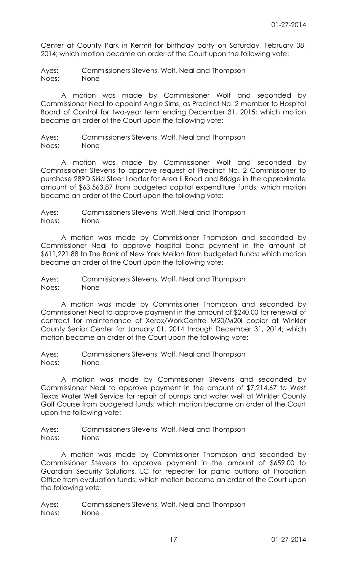Center at County Park in Kermit for birthday party on Saturday, February 08, 2014; which motion became an order of the Court upon the following vote:

Ayes: Commissioners Stevens, Wolf, Neal and Thompson Noes: None

A motion was made by Commissioner Wolf and seconded by Commissioner Neal to appoint Angie Sims, as Precinct No. 2 member to Hospital Board of Control for two-year term ending December 31, 2015; which motion became an order of the Court upon the following vote:

Ayes: Commissioners Stevens, Wolf, Neal and Thompson Noes: None

A motion was made by Commissioner Wolf and seconded by Commissioner Stevens to approve request of Precinct No. 2 Commissioner to purchase 289D Skid Steer Loader for Area II Road and Bridge in the approximate amount of \$63,563.87 from budgeted capital expenditure funds; which motion became an order of the Court upon the following vote:

Ayes: Commissioners Stevens, Wolf, Neal and Thompson Noes: None

A motion was made by Commissioner Thompson and seconded by Commissioner Neal to approve hospital bond payment in the amount of \$611,221.88 to The Bank of New York Mellon from budgeted funds; which motion became an order of the Court upon the following vote:

Ayes: Commissioners Stevens, Wolf, Neal and Thompson Noes: None

A motion was made by Commissioner Thompson and seconded by Commissioner Neal to approve payment in the amount of \$240.00 for renewal of contract for maintenance of Xerox/WorkCentre M20/M20i copier at Winkler County Senior Center for January 01, 2014 through December 31, 2014; which motion became an order of the Court upon the following vote:

Ayes: Commissioners Stevens, Wolf, Neal and Thompson Noes: None

A motion was made by Commissioner Stevens and seconded by Commissioner Neal to approve payment in the amount of \$7,214.67 to West Texas Water Well Service for repair of pumps and water well at Winkler County Golf Course from budgeted funds; which motion became an order of the Court upon the following vote:

Ayes: Commissioners Stevens, Wolf, Neal and Thompson Noes: None

A motion was made by Commissioner Thompson and seconded by Commissioner Stevens to approve payment in the amount of \$659.00 to Guardian Security Solutions, LC for repeater for panic buttons at Probation Office from evaluation funds; which motion became an order of the Court upon the following vote: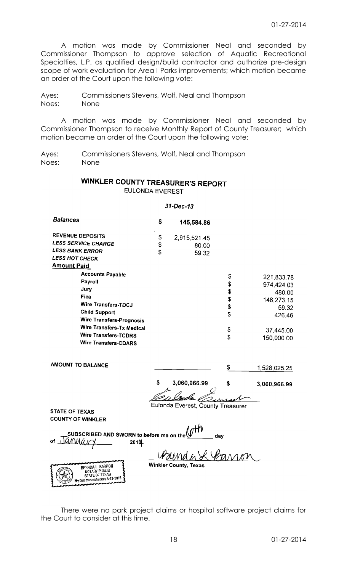A motion was made by Commissioner Neal and seconded by Commissioner Thompson to approve selection of Aquatic Recreational Specialties, L.P. as qualified design/build contractor and authorize pre-design scope of work evaluation for Area I Parks improvements; which motion became an order of the Court upon the following vote:

Ayes: Commissioners Stevens, Wolf, Neal and Thompson Noes: None

A motion was made by Commissioner Neal and seconded by Commissioner Thompson to receive Monthly Report of County Treasurer; which motion became an order of the Court upon the following vote:

Ayes: Commissioners Stevens, Wolf, Neal and Thompson Noes: None

# **WINKLER COUNTY TREASURER'S REPORT EULONDA EVEREST**

# $31 - Dec - 13$

| <b>Balances</b>                                                                                               | \$<br>145,584.86                  |     |              |
|---------------------------------------------------------------------------------------------------------------|-----------------------------------|-----|--------------|
| <b>REVENUE DEPOSITS</b>                                                                                       | \$<br>2,915,521.45                |     |              |
| <b>LESS SERVICE CHARGE</b>                                                                                    | \$<br>80.00                       |     |              |
| <b>LESS BANK ERROR</b>                                                                                        | \$<br>59.32                       |     |              |
| <b>LESS HOT CHECK</b>                                                                                         |                                   |     |              |
| <b>Amount Paid</b>                                                                                            |                                   |     |              |
| <b>Accounts Payable</b>                                                                                       |                                   | \$  |              |
| Payroll                                                                                                       |                                   | \$  | 221,833.78   |
| Jury                                                                                                          |                                   | \$  | 974,424.03   |
| Fica                                                                                                          |                                   | \$  | 480.00       |
| <b>Wire Transfers-TDCJ</b>                                                                                    |                                   | \$  | 148,273.15   |
| <b>Child Support</b>                                                                                          |                                   | \$  | 59.32        |
| <b>Wire Transfers-Prognosis</b>                                                                               |                                   |     | 426.46       |
| <b>Wire Transfers-Tx Medical</b>                                                                              |                                   | \$  |              |
| <b>Wire Transfers-TCDRS</b>                                                                                   |                                   | \$  | 37,445.00    |
| <b>Wire Transfers-CDARS</b>                                                                                   |                                   |     | 150,000.00   |
| <b>AMOUNT TO BALANCE</b>                                                                                      |                                   | \$  | 1,528,025.25 |
|                                                                                                               | \$<br>3,060,966.99                | \$  | 3,060,966.99 |
|                                                                                                               | Eulonda Everest, County Treasurer |     |              |
| <b>STATE OF TEXAS</b>                                                                                         |                                   |     |              |
| <b>COUNTY OF WINKLER</b>                                                                                      |                                   |     |              |
| SUBSCRIBED AND SWORN to before me on the<br>оf<br>2014<br>BRENDA L. BARRON<br>NOTARY PUBLIC<br>STATE OF TEXAS | <b>Winkler County, Texas</b>      | day |              |
| My Commission Expires 8-13-2015                                                                               |                                   |     |              |

There were no park project claims or hospital software project claims for the Court to consider at this time.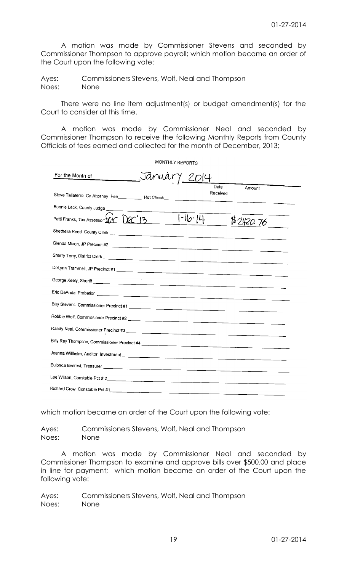A motion was made by Commissioner Stevens and seconded by Commissioner Thompson to approve payroll; which motion became an order of the Court upon the following vote:

Ayes: Commissioners Stevens, Wolf, Neal and Thompson Noes: None

There were no line item adjustment(s) or budget amendment(s) for the Court to consider at this time.

A motion was made by Commissioner Neal and seconded by Commissioner Thompson to receive the following Monthly Reports from County Officials of fees earned and collected for the month of December, 2013;

 $MOMT (u)$  (presence

|                                                                                                                                                                                      |        | <b>WONTHLY REPORTS</b> |           |  |
|--------------------------------------------------------------------------------------------------------------------------------------------------------------------------------------|--------|------------------------|-----------|--|
| For the Month of                                                                                                                                                                     | Januar | Y 2014                 |           |  |
| Steve Taliaferro, Co Attorney Fee                                                                                                                                                    |        | Date<br>Received       | Amount    |  |
| Bonnie Leck, County Judge                                                                                                                                                            |        |                        |           |  |
| Patti Franks, Tax Assessor $\widehat{D}$ $\widehat{D}$ $\widehat{C}$ $\widehat{1}$ $\widehat{3}$ $\widehat{1}$ $\widehat{1}$ $\widehat{1}$ $\widehat{1}$ $\widehat{1}$ $\widehat{1}$ |        |                        | \$2420.76 |  |
|                                                                                                                                                                                      |        |                        |           |  |
|                                                                                                                                                                                      |        |                        |           |  |
|                                                                                                                                                                                      |        |                        |           |  |
|                                                                                                                                                                                      |        |                        |           |  |
|                                                                                                                                                                                      |        |                        |           |  |
|                                                                                                                                                                                      |        |                        |           |  |
|                                                                                                                                                                                      |        |                        |           |  |
|                                                                                                                                                                                      |        |                        |           |  |
|                                                                                                                                                                                      |        |                        |           |  |
|                                                                                                                                                                                      |        |                        |           |  |
|                                                                                                                                                                                      |        |                        |           |  |
|                                                                                                                                                                                      |        |                        |           |  |
|                                                                                                                                                                                      |        |                        |           |  |
|                                                                                                                                                                                      |        |                        |           |  |
|                                                                                                                                                                                      |        |                        |           |  |

which motion became an order of the Court upon the following vote:

Ayes: Commissioners Stevens, Wolf, Neal and Thompson Noes: None

A motion was made by Commissioner Neal and seconded by Commissioner Thompson to examine and approve bills over \$500.00 and place in line for payment; which motion became an order of the Court upon the following vote: